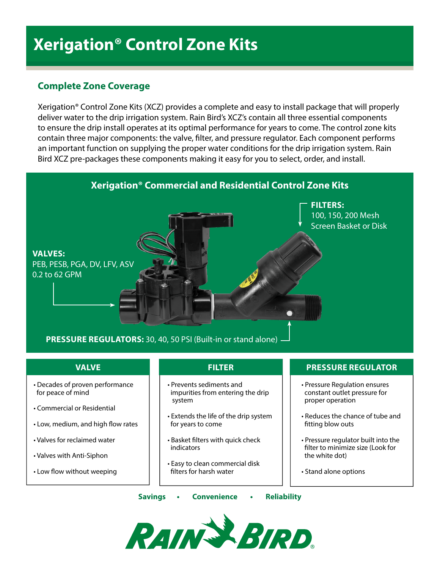# **Xerigation® Control Zone Kits**

## **Complete Zone Coverage**

Xerigation® Control Zone Kits (XCZ) provides a complete and easy to install package that will properly deliver water to the drip irrigation system. Rain Bird's XCZ's contain all three essential components to ensure the drip install operates at its optimal performance for years to come. The control zone kits contain three major components: the valve, filter, and pressure regulator. Each component performs an important function on supplying the proper water conditions for the drip irrigation system. Rain Bird XCZ pre-packages these components making it easy for you to select, order, and install.



- Decades of proven performance for peace of mind
- Commercial or Residential
- Low, medium, and high flow rates
- Valves for reclaimed water
- Valves with Anti-Siphon
- Low flow without weeping

### **VALVE FILTER PRESSURE REGULATOR**

- Prevents sediments and impurities from entering the drip system
- Extends the life of the drip system for years to come
- Basket filters with quick check indicators
- Easy to clean commercial disk filters for harsh water

### **Savings • Convenience • Reliability**



• Pressure Regulation ensures constant outlet pressure for

• Reduces the chance of tube and

• Pressure regulator built into the filter to minimize size (Look for

proper operation

fitting blow outs

the white dot)

• Stand alone options